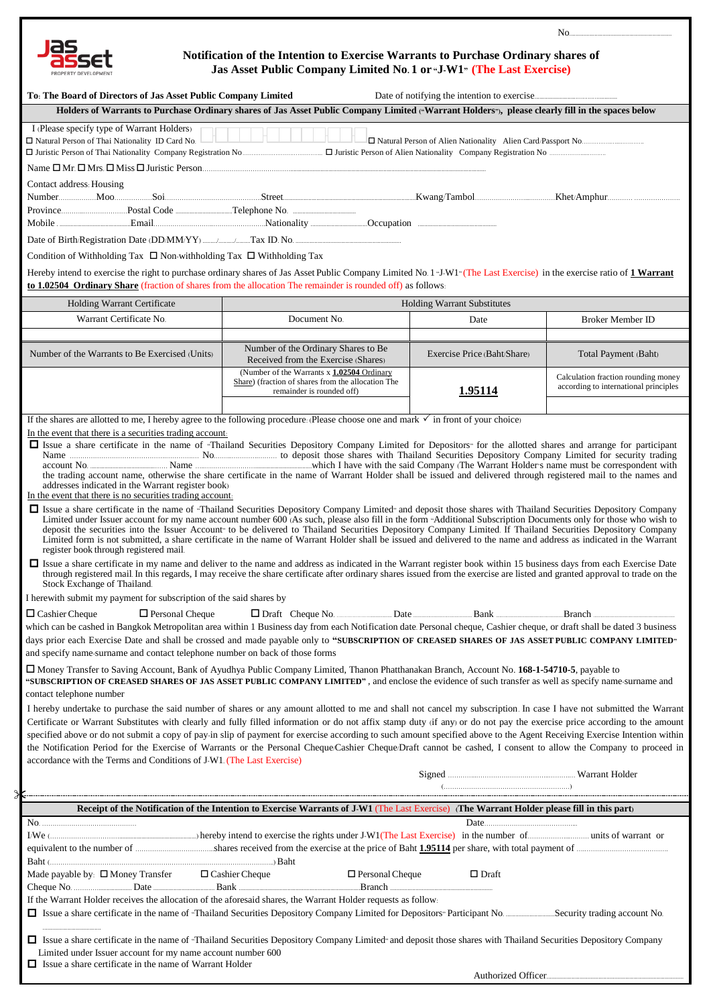

## **Notification of the Intention to Exercise Warrants to Purchase Ordinary shares of Jas Asset Public Company Limited No. 1 or "J-W1" (The Last Exercise)**

No.................................................................

| To: The Board of Directors of Jas Asset Public Company Limited                                                                                                                                                                                                                                                                                                                                                                                                                                                                                                                                                                                                                                                                                                                                                                                                                                                                                                                                                                                                                                             |                                                                                                                                                  |                             |                                                                              |  |
|------------------------------------------------------------------------------------------------------------------------------------------------------------------------------------------------------------------------------------------------------------------------------------------------------------------------------------------------------------------------------------------------------------------------------------------------------------------------------------------------------------------------------------------------------------------------------------------------------------------------------------------------------------------------------------------------------------------------------------------------------------------------------------------------------------------------------------------------------------------------------------------------------------------------------------------------------------------------------------------------------------------------------------------------------------------------------------------------------------|--------------------------------------------------------------------------------------------------------------------------------------------------|-----------------------------|------------------------------------------------------------------------------|--|
|                                                                                                                                                                                                                                                                                                                                                                                                                                                                                                                                                                                                                                                                                                                                                                                                                                                                                                                                                                                                                                                                                                            | Holders of Warrants to Purchase Ordinary shares of Jas Asset Public Company Limited ("Warrant Holders"), please clearly fill in the spaces below |                             |                                                                              |  |
| I (Please specify type of Warrant Holders)<br>□ Natural Person of Thai Nationality ID Card No.                                                                                                                                                                                                                                                                                                                                                                                                                                                                                                                                                                                                                                                                                                                                                                                                                                                                                                                                                                                                             |                                                                                                                                                  |                             |                                                                              |  |
|                                                                                                                                                                                                                                                                                                                                                                                                                                                                                                                                                                                                                                                                                                                                                                                                                                                                                                                                                                                                                                                                                                            |                                                                                                                                                  |                             |                                                                              |  |
| Contact address: Housing                                                                                                                                                                                                                                                                                                                                                                                                                                                                                                                                                                                                                                                                                                                                                                                                                                                                                                                                                                                                                                                                                   |                                                                                                                                                  |                             |                                                                              |  |
|                                                                                                                                                                                                                                                                                                                                                                                                                                                                                                                                                                                                                                                                                                                                                                                                                                                                                                                                                                                                                                                                                                            |                                                                                                                                                  |                             |                                                                              |  |
|                                                                                                                                                                                                                                                                                                                                                                                                                                                                                                                                                                                                                                                                                                                                                                                                                                                                                                                                                                                                                                                                                                            |                                                                                                                                                  |                             |                                                                              |  |
| Condition of Withholding Tax $\Box$ Non-withholding Tax $\Box$ Withholding Tax                                                                                                                                                                                                                                                                                                                                                                                                                                                                                                                                                                                                                                                                                                                                                                                                                                                                                                                                                                                                                             |                                                                                                                                                  |                             |                                                                              |  |
| Hereby intend to exercise the right to purchase ordinary shares of Jas Asset Public Company Limited No. 1 J-W1 <sup>®</sup> (The Last Exercise) in the exercise ratio of 1 Warrant<br>to 1.02504 Ordinary Share (fraction of shares from the allocation The remainder is rounded off) as follows.                                                                                                                                                                                                                                                                                                                                                                                                                                                                                                                                                                                                                                                                                                                                                                                                          |                                                                                                                                                  |                             |                                                                              |  |
| Holding Warrant Certificate                                                                                                                                                                                                                                                                                                                                                                                                                                                                                                                                                                                                                                                                                                                                                                                                                                                                                                                                                                                                                                                                                |                                                                                                                                                  | Holding Warrant Substitutes |                                                                              |  |
| Warrant Certificate No.                                                                                                                                                                                                                                                                                                                                                                                                                                                                                                                                                                                                                                                                                                                                                                                                                                                                                                                                                                                                                                                                                    | Document No.                                                                                                                                     | Date                        | <b>Broker Member ID</b>                                                      |  |
| Number of the Warrants to Be Exercised (Units)                                                                                                                                                                                                                                                                                                                                                                                                                                                                                                                                                                                                                                                                                                                                                                                                                                                                                                                                                                                                                                                             | Number of the Ordinary Shares to Be<br>Received from the Exercise (Shares)                                                                       | Exercise Price (Baht/Share) | Total Payment (Baht)                                                         |  |
|                                                                                                                                                                                                                                                                                                                                                                                                                                                                                                                                                                                                                                                                                                                                                                                                                                                                                                                                                                                                                                                                                                            | (Number of the Warrants x 1.02504 Ordinary<br>Share) (fraction of shares from the allocation The<br>remainder is rounded off)                    | 1.95114                     | Calculation fraction rounding money<br>according to international principles |  |
|                                                                                                                                                                                                                                                                                                                                                                                                                                                                                                                                                                                                                                                                                                                                                                                                                                                                                                                                                                                                                                                                                                            |                                                                                                                                                  |                             |                                                                              |  |
| If the shares are allotted to me, I hereby agree to the following procedure: (Please choose one and mark $\checkmark$ in front of your choice)<br>In the event that there is a securities trading account.                                                                                                                                                                                                                                                                                                                                                                                                                                                                                                                                                                                                                                                                                                                                                                                                                                                                                                 |                                                                                                                                                  |                             |                                                                              |  |
| I Issue a share certificate in the name of "Thailand Securities Depository Company Limited for Depositors" for the allotted shares and arrange for participant<br>the trading account name, otherwise the share certificate in the name of Warrant Holder shall be issued and delivered through registered mail to the names and<br>addresses indicated in the Warrant register book)<br>In the event that there is no securities trading account.                                                                                                                                                                                                                                                                                                                                                                                                                                                                                                                                                                                                                                                         |                                                                                                                                                  |                             |                                                                              |  |
| □ Issue a share certificate in the name of "Thailand Securities Depository Company Limited" and deposit those shares with Thailand Securities Depository Company<br>Limited under Issuer account for my name account number 600 (As such, please also fill in the form "Additional Subscription Documents only for those who wish to<br>deposit the securities into the Issuer Account to be delivered to Thailand Securities Depository Company Limited. If Thailand Securities Depository Company<br>Limited form is not submitted, a share certificate in the name of Warrant Holder shall be issued and delivered to the name and address as indicated in the Warrant<br>register book through registered mail.<br>□ Issue a share certificate in my name and deliver to the name and address as indicated in the Warrant register book within 15 business days from each Exercise Date<br>through registered mail. In this regards, I may receive the share certificate after ordinary shares issued from the exercise are listed and granted approval to trade on the<br>Stock Exchange of Thailand. |                                                                                                                                                  |                             |                                                                              |  |
| I herewith submit my payment for subscription of the said shares by                                                                                                                                                                                                                                                                                                                                                                                                                                                                                                                                                                                                                                                                                                                                                                                                                                                                                                                                                                                                                                        |                                                                                                                                                  |                             |                                                                              |  |
| $\Box$ Cashier Cheque<br>$\Box$ Personal Cheque<br>Branch                                                                                                                                                                                                                                                                                                                                                                                                                                                                                                                                                                                                                                                                                                                                                                                                                                                                                                                                                                                                                                                  |                                                                                                                                                  |                             |                                                                              |  |
| which can be cashed in Bangkok Metropolitan area within 1 Business day from each Notification date. Personal cheque, Cashier cheque, or draft shall be dated 3 business<br>days prior each Exercise Date and shall be crossed and made payable only to "SUBSCRIPTION OF CREASED SHARES OF JAS ASSET PUBLIC COMPANY LIMITED"<br>and specify name-surname and contact telephone number on back of those forms                                                                                                                                                                                                                                                                                                                                                                                                                                                                                                                                                                                                                                                                                                |                                                                                                                                                  |                             |                                                                              |  |
| □ Money Transfer to Saving Account, Bank of Ayudhya Public Company Limited, Thanon Phatthanakan Branch, Account No. 168-1-54710-5, payable to<br>"SUBSCRIPTION OF CREASED SHARES OF JAS ASSET PUBLIC COMPANY LIMITED", and enclose the evidence of such transfer as well as specify name-surname and<br>contact telephone number                                                                                                                                                                                                                                                                                                                                                                                                                                                                                                                                                                                                                                                                                                                                                                           |                                                                                                                                                  |                             |                                                                              |  |
| I hereby undertake to purchase the said number of shares or any amount allotted to me and shall not cancel my subscription. In case I have not submitted the Warrant<br>Certificate or Warrant Substitutes with clearly and fully filled information or do not affix stamp duty (if any) or do not pay the exercise price according to the amount                                                                                                                                                                                                                                                                                                                                                                                                                                                                                                                                                                                                                                                                                                                                                          |                                                                                                                                                  |                             |                                                                              |  |
| specified above or do not submit a copy of pay-in slip of payment for exercise according to such amount specified above to the Agent Receiving Exercise Intention within<br>the Notification Period for the Exercise of Warrants or the Personal Cheque/Cashier Cheque/Draft cannot be cashed, I consent to allow the Company to proceed in<br>accordance with the Terms and Conditions of J-W1. (The Last Exercise)                                                                                                                                                                                                                                                                                                                                                                                                                                                                                                                                                                                                                                                                                       |                                                                                                                                                  |                             |                                                                              |  |
|                                                                                                                                                                                                                                                                                                                                                                                                                                                                                                                                                                                                                                                                                                                                                                                                                                                                                                                                                                                                                                                                                                            |                                                                                                                                                  |                             |                                                                              |  |
| S                                                                                                                                                                                                                                                                                                                                                                                                                                                                                                                                                                                                                                                                                                                                                                                                                                                                                                                                                                                                                                                                                                          |                                                                                                                                                  |                             |                                                                              |  |
| Receipt of the Notification of the Intention to Exercise Warrants of J-W1 (The Last Exercise) (The Warrant Holder please fill in this part)                                                                                                                                                                                                                                                                                                                                                                                                                                                                                                                                                                                                                                                                                                                                                                                                                                                                                                                                                                |                                                                                                                                                  |                             |                                                                              |  |
|                                                                                                                                                                                                                                                                                                                                                                                                                                                                                                                                                                                                                                                                                                                                                                                                                                                                                                                                                                                                                                                                                                            |                                                                                                                                                  |                             |                                                                              |  |
|                                                                                                                                                                                                                                                                                                                                                                                                                                                                                                                                                                                                                                                                                                                                                                                                                                                                                                                                                                                                                                                                                                            |                                                                                                                                                  |                             |                                                                              |  |
|                                                                                                                                                                                                                                                                                                                                                                                                                                                                                                                                                                                                                                                                                                                                                                                                                                                                                                                                                                                                                                                                                                            |                                                                                                                                                  | $\Box$ Draft                |                                                                              |  |
| If the Warrant Holder receives the allocation of the aforesaid shares, the Warrant Holder requests as follow:                                                                                                                                                                                                                                                                                                                                                                                                                                                                                                                                                                                                                                                                                                                                                                                                                                                                                                                                                                                              |                                                                                                                                                  |                             |                                                                              |  |
| □ Issue a share certificate in the name of "Thailand Securities Depository Company Limited" and deposit those shares with Thailand Securities Depository Company<br>Limited under Issuer account for my name account number 600<br>$\Box$ Issue a share certificate in the name of Warrant Holder                                                                                                                                                                                                                                                                                                                                                                                                                                                                                                                                                                                                                                                                                                                                                                                                          |                                                                                                                                                  |                             |                                                                              |  |
|                                                                                                                                                                                                                                                                                                                                                                                                                                                                                                                                                                                                                                                                                                                                                                                                                                                                                                                                                                                                                                                                                                            |                                                                                                                                                  |                             |                                                                              |  |